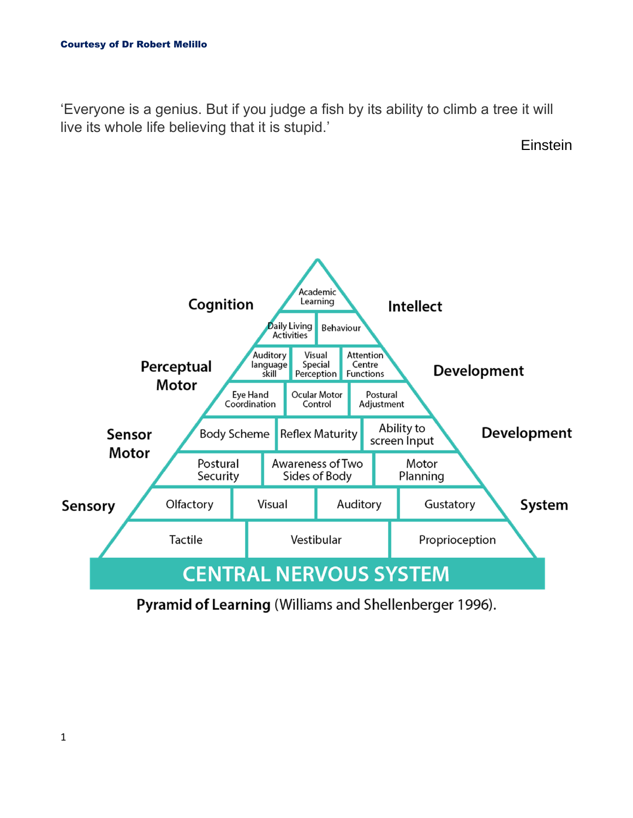'Everyone is a genius. But if you judge a fish by its ability to climb a tree it will live its whole life believing that it is stupid.'

**Einstein** 



Pyramid of Learning (Williams and Shellenberger 1996).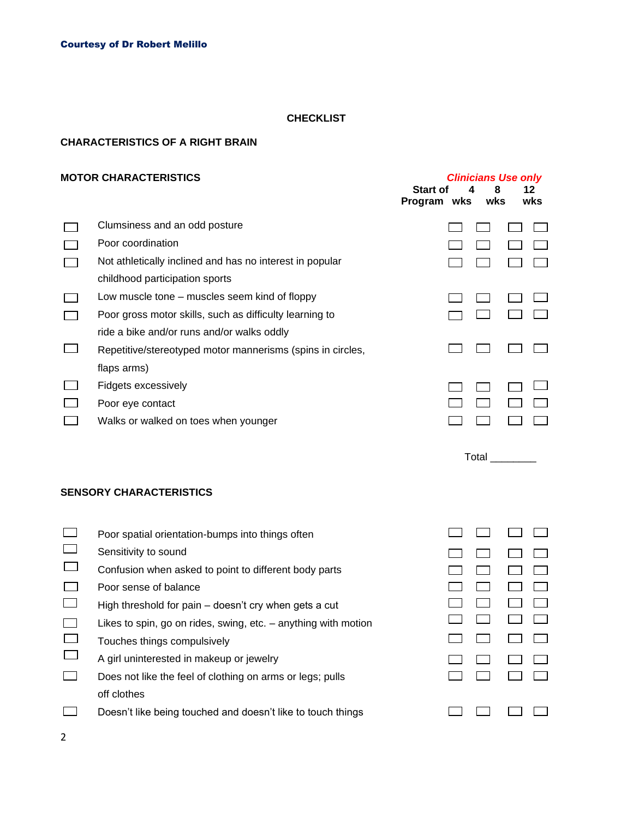#### **CHECKLIST**

#### **CHARACTERISTICS OF A RIGHT BRAIN**

#### **MOTOR CHARACTERISTICS** *Clinicians Use only* **Start of 4 8 12 Program wks wks wks** Clumsiness and an odd posture  $\Box$  $\begin{array}{cccccccccccccc} \Box & \Box & \Box & \Box & \Box \end{array}$  $\Box$ Poor coordination  $\Box$  $\Box$  $\Box$ Not athletically inclined and has no interest in popular  $\Box$  $\Box$  $\Box$  $\Box$   $\Box$ childhood participation sports Low muscle tone – muscles seem kind of floppy  $\Box$  $\Box$   $\Box$  $\Box$  $\Box$ Poor gross motor skills, such as difficulty learning to  $\Box$  $\Box$  $\Box$   $\Box$ ride a bike and/or runs and/or walks oddly  $\Box$  $\overline{\phantom{a}}$  $\Box$   $\Box$ Repetitive/stereotyped motor mannerisms (spins in circles,  $\mathcal{L}(\mathcal{A})$ flaps arms)  $\Box$ Fidgets excessively  $\Box$  $\Box$  $\Box$  $\Box$  $\Box$  $\Box$ Poor eye contact  $\overline{\phantom{a}}$  $\mathcal{L}_{\mathcal{A}}$ Walks or walked on toes when younger  $\Box$   $\Box$  $\Box$   $\Box$

Total \_\_\_\_\_\_\_\_

 $\Box$   $\Box$  $\Box$   $\Box$  $\Box$   $\Box$  $\Box$   $\Box$  $\Box$  .  $\Box$  $\Box$   $\Box$  $\Box$   $\Box$ 

 $\Box$   $\Box$  $\Box$   $\Box$ 

 $\Box$   $\Box$ 

### **SENSORY CHARACTERISTICS**

| Poor spatial orientation-bumps into things often               |  |
|----------------------------------------------------------------|--|
| Sensitivity to sound                                           |  |
| Confusion when asked to point to different body parts          |  |
| Poor sense of balance                                          |  |
| High threshold for pain - doesn't cry when gets a cut          |  |
| Likes to spin, go on rides, swing, etc. – anything with motion |  |
| Touches things compulsively                                    |  |
| A girl uninterested in makeup or jewelry                       |  |
| Does not like the feel of clothing on arms or legs; pulls      |  |
| off clothes                                                    |  |
| Doesn't like being touched and doesn't like to touch things    |  |
|                                                                |  |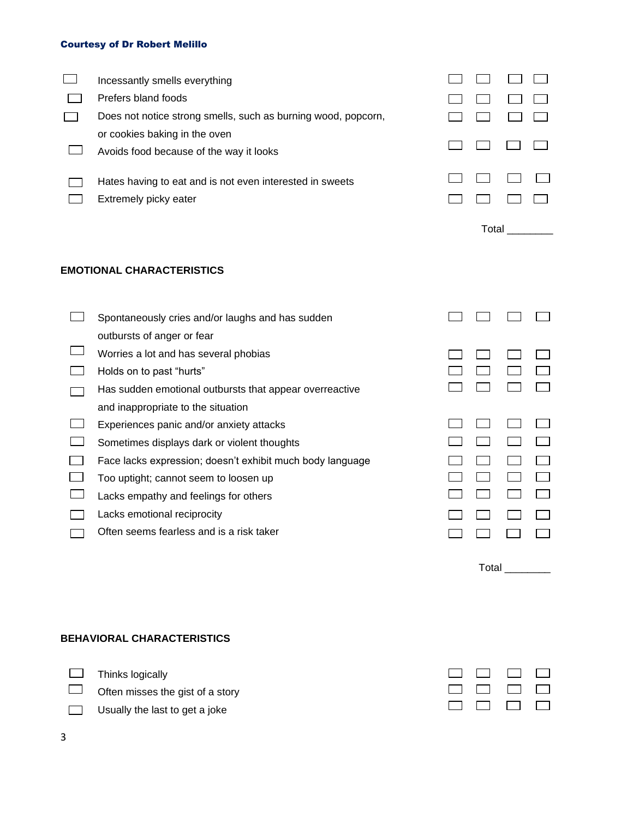| Incessantly smells everything                                                     |       |  |  |  |  |
|-----------------------------------------------------------------------------------|-------|--|--|--|--|
| Prefers bland foods                                                               |       |  |  |  |  |
| Does not notice strong smells, such as burning wood, popcorn,                     |       |  |  |  |  |
| or cookies baking in the oven<br>Avoids food because of the way it looks          |       |  |  |  |  |
| Hates having to eat and is not even interested in sweets<br>Extremely picky eater |       |  |  |  |  |
|                                                                                   | Total |  |  |  |  |

# **EMOTIONAL CHARACTERISTICS**

| Spontaneously cries and/or laughs and has sudden          |  |  |
|-----------------------------------------------------------|--|--|
| outbursts of anger or fear                                |  |  |
| Worries a lot and has several phobias                     |  |  |
| Holds on to past "hurts"                                  |  |  |
| Has sudden emotional outbursts that appear overreactive   |  |  |
| and inappropriate to the situation                        |  |  |
| Experiences panic and/or anxiety attacks                  |  |  |
| Sometimes displays dark or violent thoughts               |  |  |
| Face lacks expression; doesn't exhibit much body language |  |  |
| Too uptight; cannot seem to loosen up                     |  |  |
| Lacks empathy and feelings for others                     |  |  |
| Lacks emotional reciprocity                               |  |  |
| Often seems fearless and is a risk taker                  |  |  |
|                                                           |  |  |

# **BEHAVIORAL CHARACTERISTICS**

**Thinks logically** 

 $\Box$  Often misses the gist of a story

 $\Box$  Usually the last to get a joke



Total \_\_\_\_\_\_\_\_\_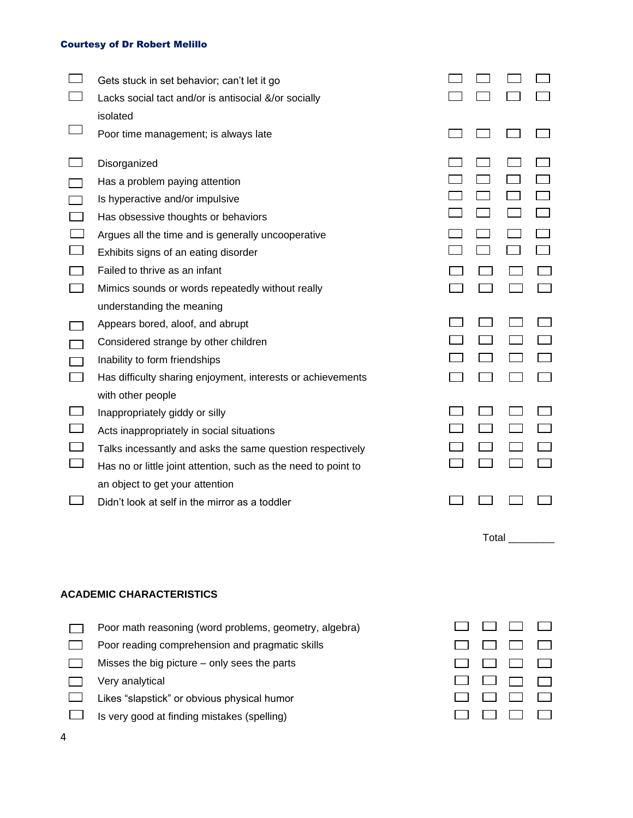| Gets stuck in set behavior; can't let it go                    |  |  |
|----------------------------------------------------------------|--|--|
| Lacks social tact and/or is antisocial &/or socially           |  |  |
| isolated                                                       |  |  |
| Poor time management; is always late                           |  |  |
| Disorganized                                                   |  |  |
| Has a problem paying attention                                 |  |  |
| Is hyperactive and/or impulsive                                |  |  |
| Has obsessive thoughts or behaviors                            |  |  |
| Argues all the time and is generally uncooperative             |  |  |
| Exhibits signs of an eating disorder                           |  |  |
| Failed to thrive as an infant                                  |  |  |
| Mimics sounds or words repeatedly without really               |  |  |
| understanding the meaning                                      |  |  |
| Appears bored, aloof, and abrupt                               |  |  |
| Considered strange by other children                           |  |  |
| Inability to form friendships                                  |  |  |
| Has difficulty sharing enjoyment, interests or achievements    |  |  |
| with other people                                              |  |  |
| Inappropriately giddy or silly                                 |  |  |
| Acts inappropriately in social situations                      |  |  |
| Talks incessantly and asks the same question respectively      |  |  |
| Has no or little joint attention, such as the need to point to |  |  |
| an object to get your attention                                |  |  |
| Didn't look at self in the mirror as a toddler                 |  |  |
|                                                                |  |  |

# **ACADEMIC CHARACTERISTICS**

Poor math reasoning (word problems, geometry, algebra)  $\Box$ 

 $\Box$ Poor reading comprehension and pragmatic skills

 $\mathcal{L}(\mathcal{A})$ Misses the big picture – only sees the parts

 $\Box$ Very analytical

- $\Box$ Likes "slapstick" or obvious physical humor
- $\Box$ Is very good at finding mistakes (spelling)



Total \_\_\_\_\_\_\_\_\_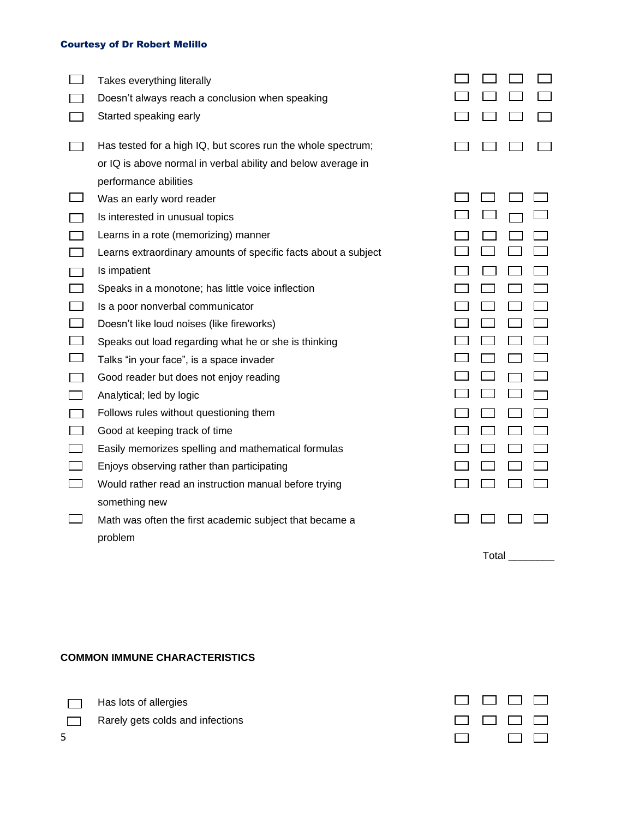| Takes everything literally                                     |  |  |
|----------------------------------------------------------------|--|--|
| Doesn't always reach a conclusion when speaking                |  |  |
| Started speaking early                                         |  |  |
| Has tested for a high IQ, but scores run the whole spectrum;   |  |  |
| or IQ is above normal in verbal ability and below average in   |  |  |
| performance abilities                                          |  |  |
| Was an early word reader                                       |  |  |
| Is interested in unusual topics                                |  |  |
| Learns in a rote (memorizing) manner                           |  |  |
| Learns extraordinary amounts of specific facts about a subject |  |  |
| Is impatient                                                   |  |  |
| Speaks in a monotone; has little voice inflection              |  |  |
| Is a poor nonverbal communicator                               |  |  |
| Doesn't like loud noises (like fireworks)                      |  |  |
| Speaks out load regarding what he or she is thinking           |  |  |
| Talks "in your face", is a space invader                       |  |  |
| Good reader but does not enjoy reading                         |  |  |
| Analytical; led by logic                                       |  |  |
| Follows rules without questioning them                         |  |  |
| Good at keeping track of time                                  |  |  |
| Easily memorizes spelling and mathematical formulas            |  |  |
| Enjoys observing rather than participating                     |  |  |
| Would rather read an instruction manual before trying          |  |  |
| something new                                                  |  |  |
| Math was often the first academic subject that became a        |  |  |
| problem                                                        |  |  |

# $\begin{array}{ccc} \square & \square & \square \end{array}$  $\Box$   $\Box$   $\Box$  $\Box$   $\Box$   $\Box$  $\Box$   $\Box$   $\Box$  $\begin{array}{ccc} \square & \square & \square \end{array}$  $\begin{array}{c} \square \end{array} \begin{array}{c} \square \end{array} \begin{array}{c} \square \end{array}$  $\Box$   $\Box$   $\Box$  $\Box$   $\Box$   $\Box$  $\Box$   $\Box$   $\Box$  $\begin{array}{c} \square \end{array} \begin{array}{c} \square \end{array}$  $\Box$   $\Box$   $\Box$  $\Box$   $\Box$   $\Box$  $\square$   $\square$   $\square$  $\square$   $\square$   $\square$  $\Box$   $\Box$   $\Box$  $\Box$   $\Box$   $\Box$  $\begin{array}{c} \square \end{array} \begin{array}{c} \square \end{array}$  $\begin{array}{c} \square \end{array} \square \begin{array}{c} \square \end{array}$  $\Box$   $\Box$   $\Box$  $\Box$   $\Box$   $\Box$

### **COMMON IMMUNE CHARACTERISTICS**

Has lots of allergies

Rarely gets colds and infections

| <b>Contract Contract</b> |                           | <b>Particular Property</b> | $\mathbf{1}$                  |
|--------------------------|---------------------------|----------------------------|-------------------------------|
| and the                  | $\mathbf{I} = \mathbf{I}$ | <b>The Contract State</b>  | <b>The Contract State</b>     |
|                          |                           | П.                         | $\mathbf{I}$ and $\mathbf{I}$ |

Total \_\_\_\_\_\_\_\_\_

5

 $\Box$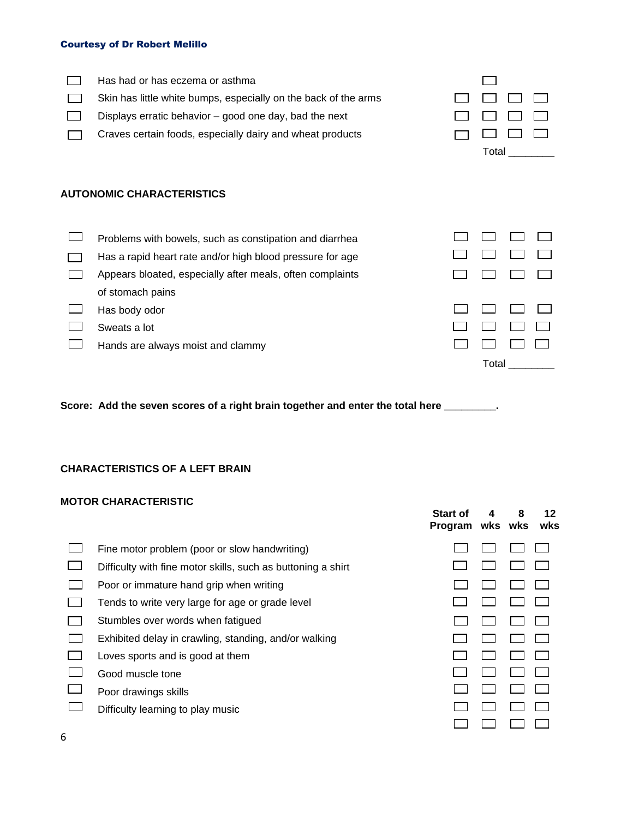| Has had or has eczema or asthma<br>Skin has little white bumps, especially on the back of the arms<br>Displays erratic behavior - good one day, bad the next<br>Craves certain foods, especially dairy and wheat products | Total |  |
|---------------------------------------------------------------------------------------------------------------------------------------------------------------------------------------------------------------------------|-------|--|
| <b>AUTONOMIC CHARACTERISTICS</b>                                                                                                                                                                                          |       |  |
| Problems with bowels, such as constipation and diarrhea                                                                                                                                                                   |       |  |
| Has a rapid heart rate and/or high blood pressure for age                                                                                                                                                                 |       |  |
| Appears bloated, especially after meals, often complaints                                                                                                                                                                 |       |  |
| of stomach pains                                                                                                                                                                                                          |       |  |
| Has body odor                                                                                                                                                                                                             |       |  |
| Sweats a lot                                                                                                                                                                                                              |       |  |
| Hands are always moist and clammy                                                                                                                                                                                         |       |  |
|                                                                                                                                                                                                                           | Total |  |

**Score: Add the seven scores of a right brain together and enter the total here \_\_\_\_\_\_\_\_\_.**

#### **CHARACTERISTICS OF A LEFT BRAIN**

## **MOTOR CHARACTERISTIC**

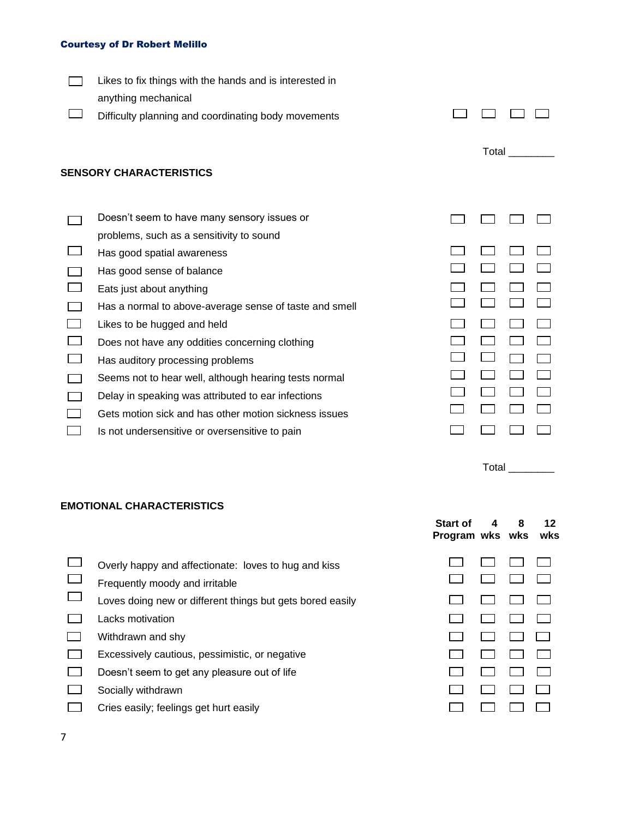| Likes to fix things with the hands and is interested in<br>anything mechanical          |       |  |
|-----------------------------------------------------------------------------------------|-------|--|
| Difficulty planning and coordinating body movements                                     |       |  |
| <b>SENSORY CHARACTERISTICS</b>                                                          | Total |  |
| Doesn't seem to have many sensory issues or<br>problems, such as a sensitivity to sound |       |  |
| Has good spatial awareness                                                              |       |  |
| Has good sense of balance                                                               |       |  |
| Eats just about anything                                                                |       |  |
| Has a normal to above-average sense of taste and smell                                  |       |  |
| Likes to be hugged and held                                                             |       |  |
| Does not have any oddities concerning clothing                                          |       |  |
| Has auditory processing problems                                                        |       |  |
| Seems not to hear well, although hearing tests normal                                   |       |  |
| Delay in speaking was attributed to ear infections                                      |       |  |
| Gets motion sick and has other motion sickness issues                                   |       |  |
| Is not undersensitive or oversensitive to pain                                          |       |  |

# **EMOTIONAL CHARACTERISTICS**

|                                                                                        | <b>Start of</b><br>Program wks wks | 4 | 8 | 12<br>wks |
|----------------------------------------------------------------------------------------|------------------------------------|---|---|-----------|
| Overly happy and affectionate: loves to hug and kiss<br>Frequently moody and irritable |                                    |   |   |           |
| Loves doing new or different things but gets bored easily                              |                                    |   |   |           |
| Lacks motivation                                                                       |                                    |   |   |           |
| Withdrawn and shy                                                                      |                                    |   |   |           |
| Excessively cautious, pessimistic, or negative                                         |                                    |   |   |           |
| Doesn't seem to get any pleasure out of life                                           |                                    |   |   |           |
| Socially withdrawn                                                                     |                                    |   |   |           |
| Cries easily; feelings get hurt easily                                                 |                                    |   |   |           |

Total \_\_\_\_\_\_\_\_\_

7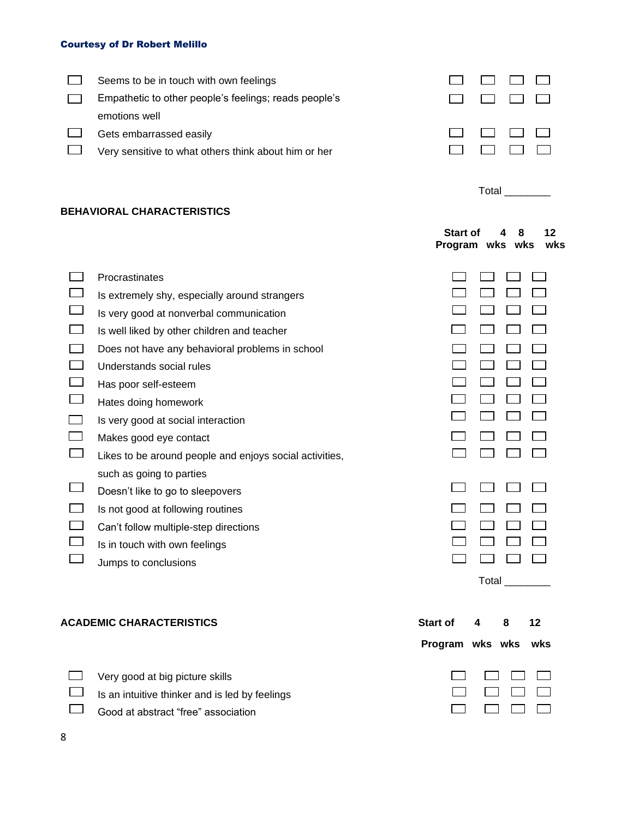| Seems to be in touch with own feelings                |  |  |
|-------------------------------------------------------|--|--|
| Empathetic to other people's feelings; reads people's |  |  |
| emotions well                                         |  |  |
| Gets embarrassed easily                               |  |  |
| Very sensitive to what others think about him or her  |  |  |
|                                                       |  |  |

Total \_\_\_\_\_\_\_\_\_

 $\Box$  $\Box$ 

 $\Box$  $\Box$ 

# **BEHAVIORAL CHARACTERISTICS**

|                                                                                                                                                                                                                                                                                                                                                                                                                                                                                                                                                                                                                            | <b>Start of</b><br>Program wks wks |       | Զ |           | 12<br>wks |
|----------------------------------------------------------------------------------------------------------------------------------------------------------------------------------------------------------------------------------------------------------------------------------------------------------------------------------------------------------------------------------------------------------------------------------------------------------------------------------------------------------------------------------------------------------------------------------------------------------------------------|------------------------------------|-------|---|-----------|-----------|
| Procrastinates<br>Is extremely shy, especially around strangers<br>Is very good at nonverbal communication<br>Is well liked by other children and teacher<br>Does not have any behavioral problems in school<br>Understands social rules<br>Has poor self-esteem<br>Hates doing homework<br>Is very good at social interaction<br>Makes good eye contact<br>Likes to be around people and enjoys social activities,<br>such as going to parties<br>Doesn't like to go to sleepovers<br>Is not good at following routines<br>Can't follow multiple-step directions<br>Is in touch with own feelings<br>Jumps to conclusions |                                    | Total |   |           |           |
| <b>ACADEMIC CHARACTERISTICS</b>                                                                                                                                                                                                                                                                                                                                                                                                                                                                                                                                                                                            | <b>Start of</b><br>Program wks wks | 4     | 8 | 12<br>wks |           |

| $\Box$ Very good at big picture skills                |                             |  |
|-------------------------------------------------------|-----------------------------|--|
| $\Box$ Is an intuitive thinker and is led by feelings | $\Box$ $\Box$ $\Box$ $\Box$ |  |
| $\Box$ Good at abstract "free" association            |                             |  |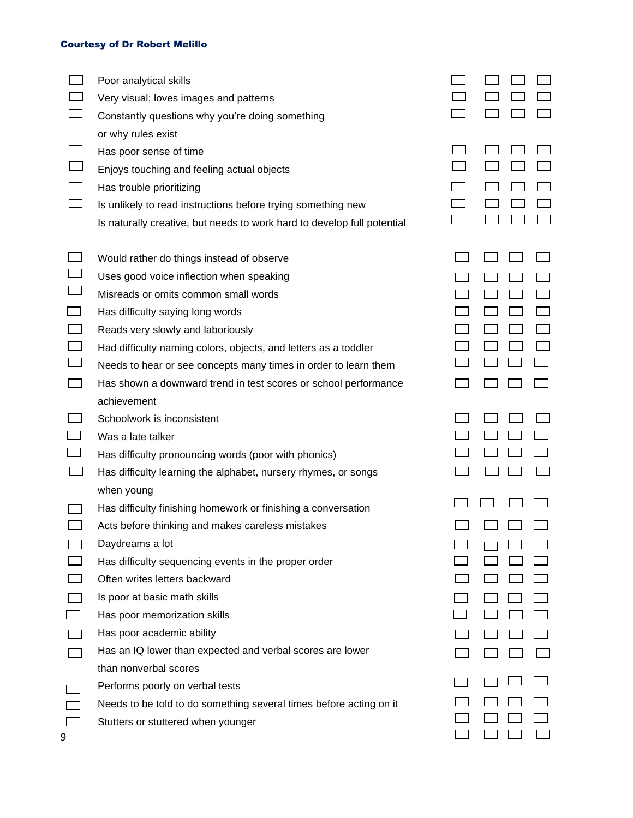|                                                              | Poor analytical skills<br>Very visual; loves images and patterns<br>Constantly questions why you're doing something                                                                                                                                                                                                                                                                                                            |  |  |
|--------------------------------------------------------------|--------------------------------------------------------------------------------------------------------------------------------------------------------------------------------------------------------------------------------------------------------------------------------------------------------------------------------------------------------------------------------------------------------------------------------|--|--|
|                                                              | or why rules exist<br>Has poor sense of time<br>Enjoys touching and feeling actual objects<br>Has trouble prioritizing<br>Is unlikely to read instructions before trying something new<br>Is naturally creative, but needs to work hard to develop full potential                                                                                                                                                              |  |  |
| └─<br>$\overline{\phantom{a}}$<br>$\mathcal{L}^{\text{max}}$ | Would rather do things instead of observe<br>Uses good voice inflection when speaking<br>Misreads or omits common small words<br>Has difficulty saying long words<br>Reads very slowly and laboriously<br>Had difficulty naming colors, objects, and letters as a toddler<br>Needs to hear or see concepts many times in order to learn them<br>Has shown a downward trend in test scores or school performance<br>achievement |  |  |
| $\Box$<br>囗                                                  | Schoolwork is inconsistent<br>Was a late talker<br>Has difficulty pronouncing words (poor with phonics)<br>Has difficulty learning the alphabet, nursery rhymes, or songs                                                                                                                                                                                                                                                      |  |  |
|                                                              | when young<br>Has difficulty finishing homework or finishing a conversation<br>Acts before thinking and makes careless mistakes<br>Daydreams a lot<br>Has difficulty sequencing events in the proper order<br>Often writes letters backward<br>Is poor at basic math skills<br>Has poor memorization skills<br>Has poor academic ability<br>Has an IQ lower than expected and verbal scores are lower<br>than nonverbal scores |  |  |
|                                                              | Performs poorly on verbal tests<br>Needs to be told to do something several times before acting on it<br>Stutters or stuttered when younger                                                                                                                                                                                                                                                                                    |  |  |

9